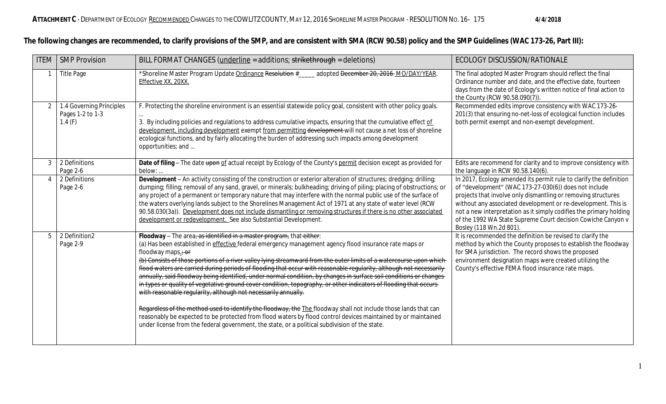## **The following changes are recommended, to clarify provisions of the SMP, and are consistent with SMA (RCW 90.58) policy and the SMP Guidelines (WAC 173-26, Part III):**

| <b>ITEM</b>    | <b>SMP Provision</b>                                   | BILL FORMAT CHANGES (underline = additions; strikethrough = deletions)                                                                                                                                                                                                                                                                                                                                                                                                                                                                                                                                                                                                                                                                                                                                                                                                                                                                                                                                                                                                                                            | ECOLOGY DISCUSSION/RATIONALE                                                                                                                                                                                                                                                                                                                                                                                                   |
|----------------|--------------------------------------------------------|-------------------------------------------------------------------------------------------------------------------------------------------------------------------------------------------------------------------------------------------------------------------------------------------------------------------------------------------------------------------------------------------------------------------------------------------------------------------------------------------------------------------------------------------------------------------------------------------------------------------------------------------------------------------------------------------------------------------------------------------------------------------------------------------------------------------------------------------------------------------------------------------------------------------------------------------------------------------------------------------------------------------------------------------------------------------------------------------------------------------|--------------------------------------------------------------------------------------------------------------------------------------------------------------------------------------------------------------------------------------------------------------------------------------------------------------------------------------------------------------------------------------------------------------------------------|
|                | <b>Title Page</b>                                      | *Shoreline Master Program Update Ordinance Resolution #<br>adopted December 20, 2016 MO/DAY/YEAR.<br>Effective XX, 20XX.                                                                                                                                                                                                                                                                                                                                                                                                                                                                                                                                                                                                                                                                                                                                                                                                                                                                                                                                                                                          | The final adopted Master Program should reflect the final<br>Ordinance number and date, and the effective date, fourteen<br>days from the date of Ecology's written notice of final action to<br>the County (RCW 90.58.090(7)).                                                                                                                                                                                                |
| 2              | 1.4 Governing Principles<br>Pages 1-2 to 1-3<br>1.4(F) | F. Protecting the shoreline environment is an essential statewide policy goal, consistent with other policy goals.<br>3. By including policies and regulations to address cumulative impacts, ensuring that the cumulative effect of<br>development, including development exempt from permitting development will not cause a net loss of shoreline<br>ecological functions, and by fairly allocating the burden of addressing such impacts among development<br>opportunities; and                                                                                                                                                                                                                                                                                                                                                                                                                                                                                                                                                                                                                              | Recommended edits improve consistency with WAC 173-26-<br>201(3) that ensuring no-net-loss of ecological function includes<br>both permit exempt and non-exempt development.                                                                                                                                                                                                                                                   |
| $\mathfrak{Z}$ | 2 Definitions<br>Page 2-6                              | Date of filing - The date upon of actual receipt by Ecology of the County's permit decision except as provided for<br>below:                                                                                                                                                                                                                                                                                                                                                                                                                                                                                                                                                                                                                                                                                                                                                                                                                                                                                                                                                                                      | Edits are recommend for clarity and to improve consistency with<br>the language in RCW 90.58.140(6).                                                                                                                                                                                                                                                                                                                           |
| $\overline{4}$ | 2 Definitions<br>Page 2-6                              | Development - An activity consisting of the construction or exterior alteration of structures; dredging; drilling;<br>dumping; filling; removal of any sand, gravel, or minerals; bulkheading; driving of piling; placing of obstructions; or<br>any project of a permanent or temporary nature that may interfere with the normal public use of the surface of<br>the waters overlying lands subject to the Shorelines Management Act of 1971 at any state of water level (RCW<br>90.58.030(3a)). Development does not include dismantling or removing structures if there is no other associated<br>development or redevelopment. See also Substantial Development.                                                                                                                                                                                                                                                                                                                                                                                                                                             | In 2017, Ecology amended its permit rule to clarify the definition<br>of "development" (WAC 173-27-030(6)) does not include<br>projects that involve only dismantling or removing structures<br>without any associated development or re-development. This is<br>not a new interpretation as it simply codifies the primary holding<br>of the 1992 WA State Supreme Court decision Cowiche Canyon v<br>Bosley (118 Wn.2d 801). |
| 5              | 2 Definition2<br>Page 2-9                              | Floodway - The area, as identified in a master program, that either:<br>(a) Has been established in <i>effective</i> federal emergency management agency flood insurance rate maps or<br>floodway maps $\div$ or<br>(b) Consists of those portions of a river valley lying streamward from the outer limits of a watercourse upon which<br>flood waters are carried during periods of flooding that occur with reasonable regularity, although not necessarily<br>annually, said floodway being identified, under normal condition, by changes in surface soil conditions or changes<br>in types or quality of vegetative ground cover condition, topography, or other indicators of flooding that occurs<br>with reasonable regularity, although not necessarily annually.<br>Regardless of the method used to identify the floodway, the The floodway shall not include those lands that can<br>reasonably be expected to be protected from flood waters by flood control devices maintained by or maintained<br>under license from the federal government, the state, or a political subdivision of the state. | It is recommended the definition be revised to clarify the<br>method by which the County proposes to establish the floodway<br>for SMA jurisdiction. The record shows the proposed<br>environment designation maps were created utilizing the<br>County's effective FEMA flood insurance rate maps.                                                                                                                            |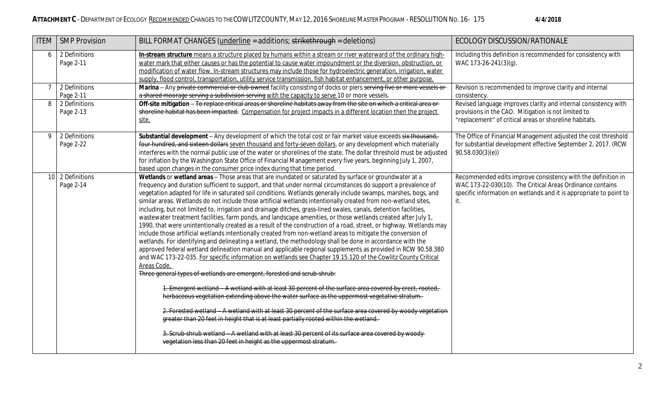| <b>ITEM</b> | <b>SMP Provision</b>          | BILL FORMAT CHANGES (underline = additions; strikethrough = deletions)                                                                                                                                                                                                                                                                                                                                                                                                                                                                                                                                                                                                                                                                                                                                                                                                                                                                                                                                                                                                                                                                                                                                                                                                                                                                                                                                                                                                                                                                                                                                                                                                                                                                                                                                                                                                                                                                                                 | ECOLOGY DISCUSSION/RATIONALE                                                                                                                                                                           |
|-------------|-------------------------------|------------------------------------------------------------------------------------------------------------------------------------------------------------------------------------------------------------------------------------------------------------------------------------------------------------------------------------------------------------------------------------------------------------------------------------------------------------------------------------------------------------------------------------------------------------------------------------------------------------------------------------------------------------------------------------------------------------------------------------------------------------------------------------------------------------------------------------------------------------------------------------------------------------------------------------------------------------------------------------------------------------------------------------------------------------------------------------------------------------------------------------------------------------------------------------------------------------------------------------------------------------------------------------------------------------------------------------------------------------------------------------------------------------------------------------------------------------------------------------------------------------------------------------------------------------------------------------------------------------------------------------------------------------------------------------------------------------------------------------------------------------------------------------------------------------------------------------------------------------------------------------------------------------------------------------------------------------------------|--------------------------------------------------------------------------------------------------------------------------------------------------------------------------------------------------------|
| 6           | 2 Definitions<br>Page 2-11    | In-stream structure means a structure placed by humans within a stream or river waterward of the ordinary high-<br>water mark that either causes or has the potential to cause water impoundment or the diversion, obstruction, or<br>modification of water flow. In-stream structures may include those for hydroelectric generation, irrigation, water<br>supply, flood control, transportation, utility service transmission, fish habitat enhancement, or other purpose.                                                                                                                                                                                                                                                                                                                                                                                                                                                                                                                                                                                                                                                                                                                                                                                                                                                                                                                                                                                                                                                                                                                                                                                                                                                                                                                                                                                                                                                                                           | Including this definition is recommended for consistency with<br>WAC 173-26-241(3)(g).                                                                                                                 |
| $7^{\circ}$ | 2 Definitions<br>Page 2-11    | Marina - Any private commercial or club-owned facility consisting of docks or piers serving five or more vessels or<br>a shared moorage serving a subdivision serving with the capacity to serve 10 or more vessels.                                                                                                                                                                                                                                                                                                                                                                                                                                                                                                                                                                                                                                                                                                                                                                                                                                                                                                                                                                                                                                                                                                                                                                                                                                                                                                                                                                                                                                                                                                                                                                                                                                                                                                                                                   | Revision is recommended to improve clarity and internal<br>consistency.                                                                                                                                |
| 8           | 2 Definitions<br>Page 2-13    | Off-site mitigation - To replace critical areas or shoreline habitats away from the site on which a critical area or<br>shoreline habitat has been impacted. Compensation for project impacts in a different location then the project<br>site.                                                                                                                                                                                                                                                                                                                                                                                                                                                                                                                                                                                                                                                                                                                                                                                                                                                                                                                                                                                                                                                                                                                                                                                                                                                                                                                                                                                                                                                                                                                                                                                                                                                                                                                        | Revised language improves clarity and internal consistency with<br>provisions in the CAO. Mitigation is not limited to<br>"replacement" of critical areas or shoreline habitats.                       |
| 9           | 2 Definitions<br>Page 2-22    | Substantial development - Any development of which the total cost or fair market value exceeds six thousand,<br>four hundred, and sixteen dollars seven thousand and forty-seven dollars, or any development which materially<br>interferes with the normal public use of the water or shorelines of the state. The dollar threshold must be adjusted<br>for inflation by the Washington State Office of Financial Management every five years, beginning July 1, 2007,<br>based upon changes in the consumer price index during that time period.                                                                                                                                                                                                                                                                                                                                                                                                                                                                                                                                                                                                                                                                                                                                                                                                                                                                                                                                                                                                                                                                                                                                                                                                                                                                                                                                                                                                                     | The Office of Financial Management adjusted the cost threshold<br>for substantial development effective September 2, 2017. (RCW<br>90.58.030(3)(e)                                                     |
|             | 10 2 Definitions<br>Page 2-14 | Wetlands or wetland areas - Those areas that are inundated or saturated by surface or groundwater at a<br>frequency and duration sufficient to support, and that under normal circumstances do support a prevalence of<br>vegetation adapted for life in saturated soil conditions. Wetlands generally include swamps, marshes, bogs, and<br>similar areas. Wetlands do not include those artificial wetlands intentionally created from non-wetland sites,<br>including, but not limited to, irrigation and drainage ditches, grass-lined swales, canals, detention facilities,<br>wastewater treatment facilities, farm ponds, and landscape amenities, or those wetlands created after July 1,<br>1990, that were unintentionally created as a result of the construction of a road, street, or highway. Wetlands may<br>include those artificial wetlands intentionally created from non-wetland areas to mitigate the conversion of<br>wetlands. For identifying and delineating a wetland, the methodology shall be done in accordance with the<br>approved federal wetland delineation manual and applicable regional supplements as provided in RCW 90.58.380<br>and WAC 173-22-035. For specific information on wetlands see Chapter 19.15.120 of the Cowlitz County Critical<br>Areas Code.<br>Three general types of wetlands are emergent, forested and scrub-shrub:<br>1. Emergent wetland - A wetland with at least 30 percent of the surface area covered by erect, rooted,<br>herbaceous vegetation extending above the water surface as the uppermost vegetative stratum.<br>2. Forested wetland - A wetland with at least 30 percent of the surface area covered by woody vegetation<br>greater than 20 feet in height that is at least partially rooted within the wetland.<br>3. Scrub-shrub wetland - A wetland with at least 30 percent of its surface area covered by woody<br>vegetation less than 20 feet in height as the uppermost stratum. | Recommended edits improve consistency with the definition in<br>WAC 173-22-030(10). The Critical Areas Ordinance contains<br>specific information on wetlands and it is appropriate to point to<br>it. |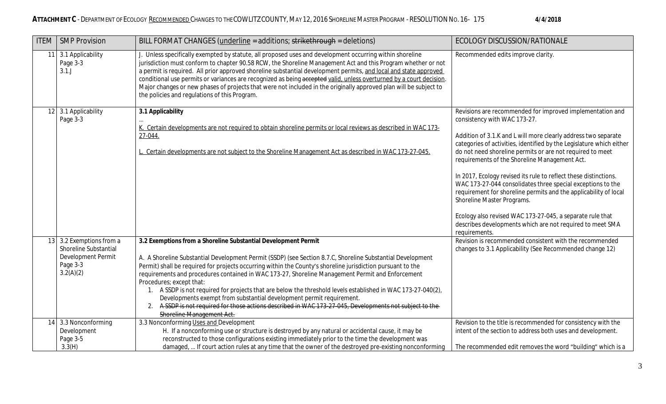| <b>ITEM</b> | <b>SMP Provision</b>                                                                             | BILL FORMAT CHANGES (underline = additions; strikethrough = deletions)                                                                                                                                                                                                                                                                                                                                                                                                                                                                                                                                                                                                                                                                                       | ECOLOGY DISCUSSION/RATIONALE                                                                                                                                                                                                                                                                                                                                                                                                                                                                                                                                                                                                                                                                                                      |
|-------------|--------------------------------------------------------------------------------------------------|--------------------------------------------------------------------------------------------------------------------------------------------------------------------------------------------------------------------------------------------------------------------------------------------------------------------------------------------------------------------------------------------------------------------------------------------------------------------------------------------------------------------------------------------------------------------------------------------------------------------------------------------------------------------------------------------------------------------------------------------------------------|-----------------------------------------------------------------------------------------------------------------------------------------------------------------------------------------------------------------------------------------------------------------------------------------------------------------------------------------------------------------------------------------------------------------------------------------------------------------------------------------------------------------------------------------------------------------------------------------------------------------------------------------------------------------------------------------------------------------------------------|
| 11          | 3.1 Applicability<br>Page 3-3<br>3.1J                                                            | J. Unless specifically exempted by statute, all proposed uses and development occurring within shoreline<br>jurisdiction must conform to chapter 90.58 RCW, the Shoreline Management Act and this Program whether or not<br>a permit is required. All prior approved shoreline substantial development permits, and local and state approved<br>conditional use permits or variances are recognized as being accepted valid, unless overturned by a court decision.<br>Major changes or new phases of projects that were not included in the originally approved plan will be subject to<br>the policies and regulations of this Program.                                                                                                                    | Recommended edits improve clarity.                                                                                                                                                                                                                                                                                                                                                                                                                                                                                                                                                                                                                                                                                                |
|             | 12 3.1 Applicability<br>Page 3-3                                                                 | 3.1 Applicability<br>K. Certain developments are not required to obtain shoreline permits or local reviews as described in WAC 173-<br>27-044.<br>L. Certain developments are not subject to the Shoreline Management Act as described in WAC 173-27-045.                                                                                                                                                                                                                                                                                                                                                                                                                                                                                                    | Revisions are recommended for improved implementation and<br>consistency with WAC 173-27.<br>Addition of 3.1.K and L will more clearly address two separate<br>categories of activities, identified by the Legislature which either<br>do not need shoreline permits or are not required to meet<br>requirements of the Shoreline Management Act.<br>In 2017, Ecology revised its rule to reflect these distinctions.<br>WAC 173-27-044 consolidates three special exceptions to the<br>requirement for shoreline permits and the applicability of local<br>Shoreline Master Programs.<br>Ecology also revised WAC 173-27-045, a separate rule that<br>describes developments which are not required to meet SMA<br>requirements. |
|             | 13 3.2 Exemptions from a<br>Shoreline Substantial<br>Development Permit<br>Page 3-3<br>3.2(A)(2) | 3.2 Exemptions from a Shoreline Substantial Development Permit<br>A. A Shoreline Substantial Development Permit (SSDP) (see Section 8.7.C, Shoreline Substantial Development<br>Permit) shall be required for projects occurring within the County's shoreline jurisdiction pursuant to the<br>requirements and procedures contained in WAC 173-27, Shoreline Management Permit and Enforcement<br>Procedures; except that:<br>1. A SSDP is not required for projects that are below the threshold levels established in WAC 173-27-040(2),<br>Developments exempt from substantial development permit requirement.<br>2. A SSDP is not required for those actions described in WAC 173-27-045, Developments not subject to the<br>Shoreline Management Act. | Revision is recommended consistent with the recommended<br>changes to 3.1 Applicability (See Recommended change 12)                                                                                                                                                                                                                                                                                                                                                                                                                                                                                                                                                                                                               |
|             | 14 3.3 Nonconforming<br>Development<br>Page 3-5<br>3.3(H)                                        | 3.3 Nonconforming Uses and Development<br>H. If a nonconforming use or structure is destroyed by any natural or accidental cause, it may be<br>reconstructed to those configurations existing immediately prior to the time the development was<br>damaged,  If court action rules at any time that the owner of the destroyed pre-existing nonconforming                                                                                                                                                                                                                                                                                                                                                                                                    | Revision to the title is recommended for consistency with the<br>intent of the section to address both uses and development.<br>The recommended edit removes the word "building" which is a                                                                                                                                                                                                                                                                                                                                                                                                                                                                                                                                       |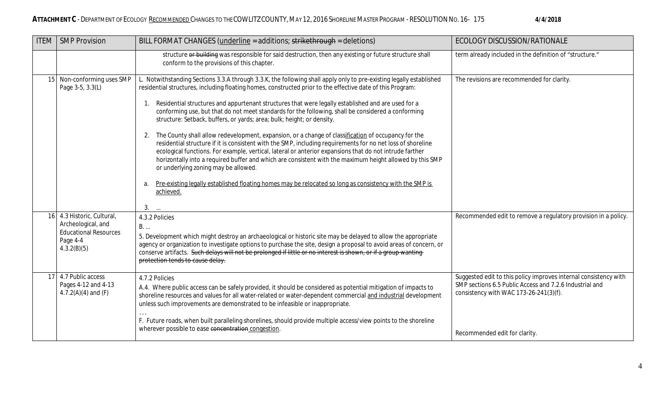| <b>ITEM</b> | <b>SMP Provision</b>                                                                                        | BILL FORMAT CHANGES (underline = additions; strikethrough = deletions)                                                                                                                                                                                                                                                                                                                                                                                                                                                                                                                                                                                                                                                                                                                                                                                                                                                                                                                                                                                                                                                                                      | ECOLOGY DISCUSSION/RATIONALE                                                                                                                                                                           |
|-------------|-------------------------------------------------------------------------------------------------------------|-------------------------------------------------------------------------------------------------------------------------------------------------------------------------------------------------------------------------------------------------------------------------------------------------------------------------------------------------------------------------------------------------------------------------------------------------------------------------------------------------------------------------------------------------------------------------------------------------------------------------------------------------------------------------------------------------------------------------------------------------------------------------------------------------------------------------------------------------------------------------------------------------------------------------------------------------------------------------------------------------------------------------------------------------------------------------------------------------------------------------------------------------------------|--------------------------------------------------------------------------------------------------------------------------------------------------------------------------------------------------------|
|             |                                                                                                             | structure or building was responsible for said destruction, then any existing or future structure shall<br>conform to the provisions of this chapter.                                                                                                                                                                                                                                                                                                                                                                                                                                                                                                                                                                                                                                                                                                                                                                                                                                                                                                                                                                                                       | term already included in the definition of "structure."                                                                                                                                                |
|             | 15 Non-conforming uses SMP<br>Page 3-5, 3.3(L)                                                              | L. Notwithstanding Sections 3.3.A through 3.3.K, the following shall apply only to pre-existing legally established<br>residential structures, including floating homes, constructed prior to the effective date of this Program:<br>Residential structures and appurtenant structures that were legally established and are used for a<br>1.<br>conforming use, but that do not meet standards for the following, shall be considered a conforming<br>structure: Setback, buffers, or yards; area; bulk; height; or density.<br>2. The County shall allow redevelopment, expansion, or a change of classification of occupancy for the<br>residential structure if it is consistent with the SMP, including requirements for no net loss of shoreline<br>ecological functions. For example, vertical, lateral or anterior expansions that do not intrude farther<br>horizontally into a required buffer and which are consistent with the maximum height allowed by this SMP<br>or underlying zoning may be allowed.<br>Pre-existing legally established floating homes may be relocated so long as consistency with the SMP is<br>a.<br>achieved.<br>$3.$ | The revisions are recommended for clarity.                                                                                                                                                             |
|             | 16 4.3 Historic, Cultural,<br>Archeological, and<br><b>Educational Resources</b><br>Page 4-4<br>4.3.2(B)(5) | 4.3.2 Policies<br>B.<br>5. Development which might destroy an archaeological or historic site may be delayed to allow the appropriate<br>agency or organization to investigate options to purchase the site, design a proposal to avoid areas of concern, or<br>conserve artifacts. Such delays will not be prolonged if little or no interest is shown, or if a group wanting<br>protection tends to cause delay.                                                                                                                                                                                                                                                                                                                                                                                                                                                                                                                                                                                                                                                                                                                                          | Recommended edit to remove a regulatory provision in a policy.                                                                                                                                         |
|             | 17 4.7 Public access<br>Pages 4-12 and 4-13<br>4.7.2(A)(4) and $(F)$                                        | 4.7.2 Policies<br>A.4. Where public access can be safely provided, it should be considered as potential mitigation of impacts to<br>shoreline resources and values for all water-related or water-dependent commercial and industrial development<br>unless such improvements are demonstrated to be infeasible or inappropriate.<br>F. Future roads, when built paralleling shorelines, should provide multiple access/view points to the shoreline<br>wherever possible to ease concentration congestion.                                                                                                                                                                                                                                                                                                                                                                                                                                                                                                                                                                                                                                                 | Suggested edit to this policy improves internal consistency with<br>SMP sections 6.5 Public Access and 7.2.6 Industrial and<br>consistency with WAC 173-26-241(3)(f).<br>Recommended edit for clarity. |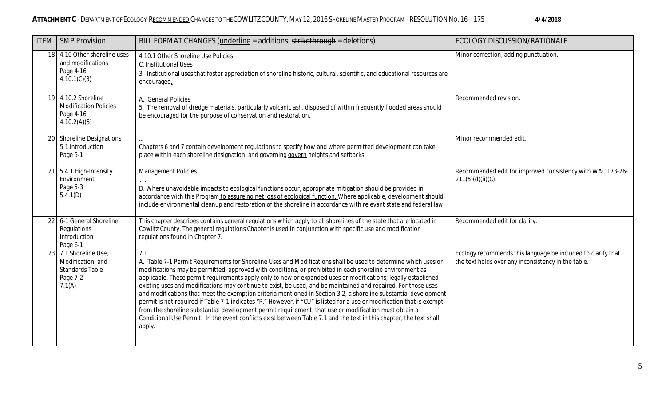| <b>ITEM</b> | <b>SMP Provision</b>                                                                       | BILL FORMAT CHANGES (underline = additions; strikethrough = deletions)                                                                                                                                                                                                                                                                                                                                                                                                                                                                                                                                                                                                                                                                                                                                                                                                                                                                                        | ECOLOGY DISCUSSION/RATIONALE                                                                                        |
|-------------|--------------------------------------------------------------------------------------------|---------------------------------------------------------------------------------------------------------------------------------------------------------------------------------------------------------------------------------------------------------------------------------------------------------------------------------------------------------------------------------------------------------------------------------------------------------------------------------------------------------------------------------------------------------------------------------------------------------------------------------------------------------------------------------------------------------------------------------------------------------------------------------------------------------------------------------------------------------------------------------------------------------------------------------------------------------------|---------------------------------------------------------------------------------------------------------------------|
|             | 18 4.10 Other shoreline uses<br>and modifications<br>Page 4-16<br>4.10.1(C)(3)             | 4.10.1 Other Shoreline Use Policies<br>C. Institutional Uses<br>3. Institutional uses that foster appreciation of shoreline historic, cultural, scientific, and educational resources are<br>encouraged.                                                                                                                                                                                                                                                                                                                                                                                                                                                                                                                                                                                                                                                                                                                                                      | Minor correction, adding punctuation.                                                                               |
|             | 19 4.10.2 Shoreline<br><b>Modification Policies</b><br>Page 4-16<br>4.10.2(A)(5)           | A. General Policies<br>5. The removal of dredge materials, particularly volcanic ash, disposed of within frequently flooded areas should<br>be encouraged for the purpose of conservation and restoration.                                                                                                                                                                                                                                                                                                                                                                                                                                                                                                                                                                                                                                                                                                                                                    | Recommended revision.                                                                                               |
|             | 20 Shoreline Designations<br>5.1 Introduction<br>Page 5-1                                  | Chapters 6 and 7 contain development regulations to specify how and where permitted development can take<br>place within each shoreline designation, and governing govern heights and setbacks.                                                                                                                                                                                                                                                                                                                                                                                                                                                                                                                                                                                                                                                                                                                                                               | Minor recommended edit.                                                                                             |
|             | $21$ 5.4.1 High-Intensity<br>Environment<br>Page 5-3<br>5.4.1(D)                           | Management Policies<br>D. Where unavoidable impacts to ecological functions occur, appropriate mitigation should be provided in<br>accordance with this Program to assure no net loss of ecological function. Where applicable, development should<br>include environmental cleanup and restoration of the shoreline in accordance with relevant state and federal law.                                                                                                                                                                                                                                                                                                                                                                                                                                                                                                                                                                                       | Recommended edit for improved consistency with WAC 173-26-<br>$211(5)(d)(ii)(C)$ .                                  |
| 22          | 6-1 General Shoreline<br>Regulations<br>Introduction<br>Page 6-1                           | This chapter describes contains general regulations which apply to all shorelines of the state that are located in<br>Cowlitz County. The general regulations Chapter is used in conjunction with specific use and modification<br>regulations found in Chapter 7.                                                                                                                                                                                                                                                                                                                                                                                                                                                                                                                                                                                                                                                                                            | Recommended edit for clarity.                                                                                       |
|             | 23 7.1 Shoreline Use,<br>Modification, and<br><b>Standards Table</b><br>Page 7-2<br>7.1(A) | 7.1<br>A. Table 7-1 Permit Requirements for Shoreline Uses and Modifications shall be used to determine which uses or<br>modifications may be permitted, approved with conditions, or prohibited in each shoreline environment as<br>applicable. These permit requirements apply only to new or expanded uses or modifications; legally established<br>existing uses and modifications may continue to exist, be used, and be maintained and repaired. For those uses<br>and modifications that meet the exemption criteria mentioned in Section 3.2, a shoreline substantial development<br>permit is not required if Table 7-1 indicates "P." However, if "CU" is listed for a use or modification that is exempt<br>from the shoreline substantial development permit requirement, that use or modification must obtain a<br>Conditional Use Permit. In the event conflicts exist between Table 7.1 and the text in this chapter, the text shall<br>apply. | Ecology recommends this language be included to clarify that<br>the text holds over any inconsistency in the table. |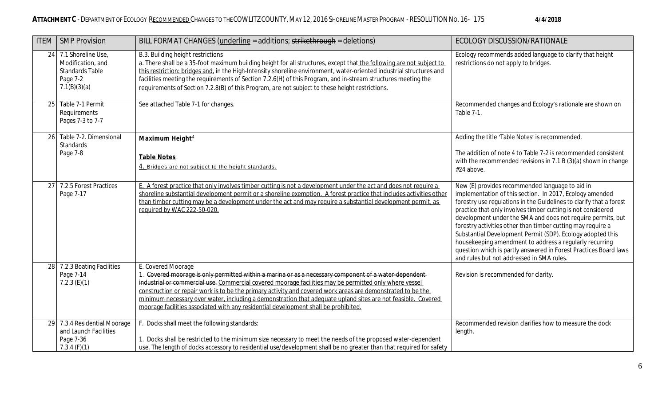| <b>ITEM</b> | <b>SMP Provision</b>                                                                             | BILL FORMAT CHANGES (underline = additions; strikethrough = deletions)                                                                                                                                                                                                                                                                                                                                                                                                                                                                                       | ECOLOGY DISCUSSION/RATIONALE                                                                                                                                                                                                                                                                                                                                                                                                                                                                                                                                                                                               |
|-------------|--------------------------------------------------------------------------------------------------|--------------------------------------------------------------------------------------------------------------------------------------------------------------------------------------------------------------------------------------------------------------------------------------------------------------------------------------------------------------------------------------------------------------------------------------------------------------------------------------------------------------------------------------------------------------|----------------------------------------------------------------------------------------------------------------------------------------------------------------------------------------------------------------------------------------------------------------------------------------------------------------------------------------------------------------------------------------------------------------------------------------------------------------------------------------------------------------------------------------------------------------------------------------------------------------------------|
|             | 24 7.1 Shoreline Use,<br>Modification, and<br><b>Standards Table</b><br>Page 7-2<br>7.1(B)(3)(a) | B.3. Building height restrictions<br>a. There shall be a 35-foot maximum building height for all structures, except that the following are not subject to<br>this restriction: bridges and, in the High-Intensity shoreline environment, water-oriented industrial structures and<br>facilities meeting the requirements of Section 7.2.6(H) of this Program, and in-stream structures meeting the<br>requirements of Section 7.2.8(B) of this Program, are not subject to these height restrictions.                                                        | Ecology recommends added language to clarify that height<br>restrictions do not apply to bridges.                                                                                                                                                                                                                                                                                                                                                                                                                                                                                                                          |
| 25          | Table 7-1 Permit<br>Requirements<br>Pages 7-3 to 7-7                                             | See attached Table 7-1 for changes.                                                                                                                                                                                                                                                                                                                                                                                                                                                                                                                          | Recommended changes and Ecology's rationale are shown on<br>Table 7-1.                                                                                                                                                                                                                                                                                                                                                                                                                                                                                                                                                     |
| 26          | Table 7-2. Dimensional<br>Standards                                                              | Maximum Height <sup>4</sup>                                                                                                                                                                                                                                                                                                                                                                                                                                                                                                                                  | Adding the title 'Table Notes' is recommended.                                                                                                                                                                                                                                                                                                                                                                                                                                                                                                                                                                             |
|             | Page 7-8                                                                                         | <b>Table Notes</b><br>4. Bridges are not subject to the height standards.                                                                                                                                                                                                                                                                                                                                                                                                                                                                                    | The addition of note 4 to Table 7-2 is recommended consistent<br>with the recommended revisions in 7.1 B (3)(a) shown in change<br>#24 above.                                                                                                                                                                                                                                                                                                                                                                                                                                                                              |
| 27          | 7.2.5 Forest Practices<br>Page 7-17                                                              | E. A forest practice that only involves timber cutting is not a development under the act and does not require a<br>shoreline substantial development permit or a shoreline exemption. A forest practice that includes activities other<br>than timber cutting may be a development under the act and may require a substantial development permit, as<br>required by WAC 222-50-020.                                                                                                                                                                        | New (E) provides recommended language to aid in<br>implementation of this section. In 2017, Ecology amended<br>forestry use regulations in the Guidelines to clarify that a forest<br>practice that only involves timber cutting is not considered<br>development under the SMA and does not require permits, but<br>forestry activities other than timber cutting may require a<br>Substantial Development Permit (SDP). Ecology adopted this<br>housekeeping amendment to address a regularly recurring<br>question which is partly answered in Forest Practices Board laws<br>and rules but not addressed in SMA rules. |
|             | 28 7.2.3 Boating Facilities<br>Page 7-14<br>$7.2.3$ (E)(1)                                       | E. Covered Moorage<br>1. Covered moorage is only permitted within a marina or as a necessary component of a water-dependent-<br>industrial or commercial use. Commercial covered moorage facilities may be permitted only where vessel<br>construction or repair work is to be the primary activity and covered work areas are demonstrated to be the<br>minimum necessary over water, including a demonstration that adequate upland sites are not feasible. Covered<br>moorage facilities associated with any residential development shall be prohibited. | Revision is recommended for clarity.                                                                                                                                                                                                                                                                                                                                                                                                                                                                                                                                                                                       |
|             | 29 7.3.4 Residential Moorage<br>and Launch Facilities<br>Page 7-36<br>7.3.4(F)(1)                | F. Docks shall meet the following standards:<br>1. Docks shall be restricted to the minimum size necessary to meet the needs of the proposed water-dependent<br>use. The length of docks accessory to residential use/development shall be no greater than that required for safety                                                                                                                                                                                                                                                                          | Recommended revision clarifies how to measure the dock<br>length.                                                                                                                                                                                                                                                                                                                                                                                                                                                                                                                                                          |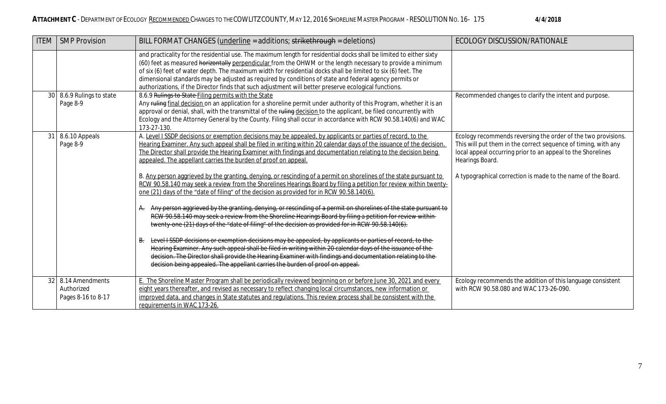| <b>ITEM</b> | <b>SMP Provision</b>                                | BILL FORMAT CHANGES (underline = additions; strikethrough = deletions)                                                                                                                                                                                                                                                                                                                                                                                                                                                                                                                                                                                                                                                                                                                                                                                                                                                                                                                                                                                                                                                                                                                                                                                                                                                                                                                                                                                                                                                                  | ECOLOGY DISCUSSION/RATIONALE                                                                                                                                                                                                                                                      |
|-------------|-----------------------------------------------------|-----------------------------------------------------------------------------------------------------------------------------------------------------------------------------------------------------------------------------------------------------------------------------------------------------------------------------------------------------------------------------------------------------------------------------------------------------------------------------------------------------------------------------------------------------------------------------------------------------------------------------------------------------------------------------------------------------------------------------------------------------------------------------------------------------------------------------------------------------------------------------------------------------------------------------------------------------------------------------------------------------------------------------------------------------------------------------------------------------------------------------------------------------------------------------------------------------------------------------------------------------------------------------------------------------------------------------------------------------------------------------------------------------------------------------------------------------------------------------------------------------------------------------------------|-----------------------------------------------------------------------------------------------------------------------------------------------------------------------------------------------------------------------------------------------------------------------------------|
|             |                                                     | and practicality for the residential use. The maximum length for residential docks shall be limited to either sixty<br>(60) feet as measured horizontally perpendicular from the OHWM or the length necessary to provide a minimum<br>of six (6) feet of water depth. The maximum width for residential docks shall be limited to six (6) feet. The<br>dimensional standards may be adjusted as required by conditions of state and federal agency permits or<br>authorizations, if the Director finds that such adjustment will better preserve ecological functions.                                                                                                                                                                                                                                                                                                                                                                                                                                                                                                                                                                                                                                                                                                                                                                                                                                                                                                                                                                  |                                                                                                                                                                                                                                                                                   |
|             | 30 8.6.9 Rulings to state<br>Page 8-9               | 8.6.9 Rulings to State Filing permits with the State<br>Any ruling final decision on an application for a shoreline permit under authority of this Program, whether it is an<br>approval or denial, shall, with the transmittal of the ruling decision to the applicant, be filed concurrently with<br>Ecology and the Attorney General by the County. Filing shall occur in accordance with RCW 90.58.140(6) and WAC<br>173-27-130.                                                                                                                                                                                                                                                                                                                                                                                                                                                                                                                                                                                                                                                                                                                                                                                                                                                                                                                                                                                                                                                                                                    | Recommended changes to clarify the intent and purpose.                                                                                                                                                                                                                            |
| 31          | 8.6.10 Appeals<br>Page 8-9                          | A. Level I SSDP decisions or exemption decisions may be appealed, by applicants or parties of record, to the<br>Hearing Examiner. Any such appeal shall be filed in writing within 20 calendar days of the issuance of the decision.<br>The Director shall provide the Hearing Examiner with findings and documentation relating to the decision being<br>appealed. The appellant carries the burden of proof on appeal.<br>B. Any person aggrieved by the granting, denying, or rescinding of a permit on shorelines of the state pursuant to<br>RCW 90.58.140 may seek a review from the Shorelines Hearings Board by filing a petition for review within twenty-<br>one (21) days of the "date of filing" of the decision as provided for in RCW 90.58.140(6).<br>A. Any person aggrieved by the granting, denying, or rescinding of a permit on shorelines of the state pursuant to<br>RCW 90.58.140 may seek a review from the Shoreline Hearings Board by filing a petition for review within<br>twenty-one (21) days of the "date of filing" of the decision as provided for in RCW 90.58.140(6).<br>Level I SSDP decisions or exemption decisions may be appealed, by applicants or parties of record, to the<br>B.<br>Hearing Examiner. Any such appeal shall be filed in writing within 20 calendar days of the issuance of the<br>decision. The Director shall provide the Hearing Examiner with findings and documentation relating to the<br>decision being appealed. The appellant carries the burden of proof on appeal. | Ecology recommends reversing the order of the two provisions.<br>This will put them in the correct sequence of timing, with any<br>local appeal occurring prior to an appeal to the Shorelines<br>Hearings Board.<br>A typographical correction is made to the name of the Board. |
| 32          | 8.14 Amendments<br>Authorized<br>Pages 8-16 to 8-17 | E. The Shoreline Master Program shall be periodically reviewed beginning on or before June 30, 2021 and every<br>eight years thereafter, and revised as necessary to reflect changing local circumstances, new information or<br>improved data, and changes in State statutes and regulations. This review process shall be consistent with the<br>requirements in WAC 173-26.                                                                                                                                                                                                                                                                                                                                                                                                                                                                                                                                                                                                                                                                                                                                                                                                                                                                                                                                                                                                                                                                                                                                                          | Ecology recommends the addition of this language consistent<br>with RCW 90.58.080 and WAC 173-26-090.                                                                                                                                                                             |